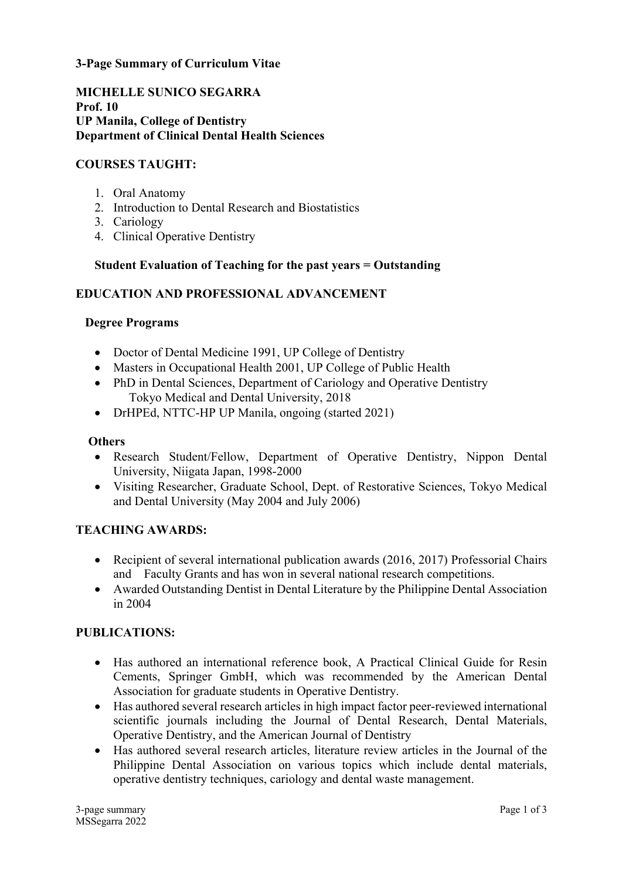**3-Page Summary of Curriculum Vitae**

**MICHELLE SUNICO SEGARRA Prof. 10 UP Manila, College of Dentistry Department of Clinical Dental Health Sciences**

### **COURSES TAUGHT:**

- 1. Oral Anatomy
- 2. Introduction to Dental Research and Biostatistics
- 3. Cariology
- 4. Clinical Operative Dentistry

### **Student Evaluation of Teaching for the past years = Outstanding**

### **EDUCATION AND PROFESSIONAL ADVANCEMENT**

### **Degree Programs**

- Doctor of Dental Medicine 1991, UP College of Dentistry
- Masters in Occupational Health 2001, UP College of Public Health
- PhD in Dental Sciences, Department of Cariology and Operative Dentistry Tokyo Medical and Dental University, 2018
- DrHPEd, NTTC-HP UP Manila, ongoing (started 2021)

### **Others**

- Research Student/Fellow, Department of Operative Dentistry, Nippon Dental University, Niigata Japan, 1998-2000
- Visiting Researcher, Graduate School, Dept. of Restorative Sciences, Tokyo Medical and Dental University (May 2004 and July 2006)

### **TEACHING AWARDS:**

- Recipient of several international publication awards (2016, 2017) Professorial Chairs and Faculty Grants and has won in several national research competitions.
- Awarded Outstanding Dentist in Dental Literature by the Philippine Dental Association in 2004

### **PUBLICATIONS:**

- Has authored an international reference book, A Practical Clinical Guide for Resin Cements, Springer GmbH, which was recommended by the American Dental Association for graduate students in Operative Dentistry.
- Has authored several research articles in high impact factor peer-reviewed international scientific journals including the Journal of Dental Research, Dental Materials, Operative Dentistry, and the American Journal of Dentistry
- Has authored several research articles, literature review articles in the Journal of the Philippine Dental Association on various topics which include dental materials, operative dentistry techniques, cariology and dental waste management.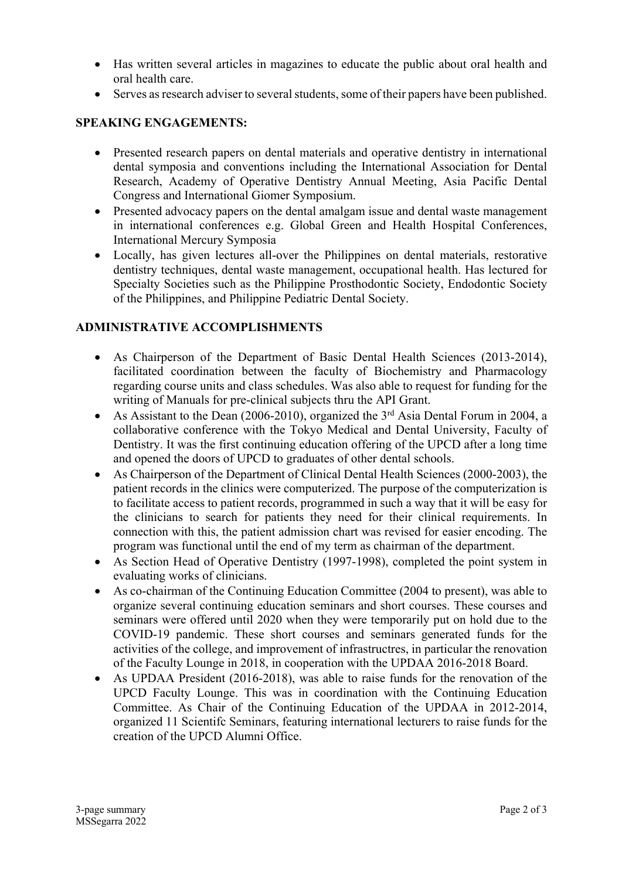- Has written several articles in magazines to educate the public about oral health and oral health care.
- Serves as research adviser to several students, some of their papers have been published.

# **SPEAKING ENGAGEMENTS:**

- Presented research papers on dental materials and operative dentistry in international dental symposia and conventions including the International Association for Dental Research, Academy of Operative Dentistry Annual Meeting, Asia Pacific Dental Congress and International Giomer Symposium.
- Presented advocacy papers on the dental amalgam issue and dental waste management in international conferences e.g. Global Green and Health Hospital Conferences, International Mercury Symposia
- Locally, has given lectures all-over the Philippines on dental materials, restorative dentistry techniques, dental waste management, occupational health. Has lectured for Specialty Societies such as the Philippine Prosthodontic Society, Endodontic Society of the Philippines, and Philippine Pediatric Dental Society.

## **ADMINISTRATIVE ACCOMPLISHMENTS**

- As Chairperson of the Department of Basic Dental Health Sciences (2013-2014), facilitated coordination between the faculty of Biochemistry and Pharmacology regarding course units and class schedules. Was also able to request for funding for the writing of Manuals for pre-clinical subjects thru the API Grant.
- As Assistant to the Dean  $(2006-2010)$ , organized the 3<sup>rd</sup> Asia Dental Forum in 2004, a collaborative conference with the Tokyo Medical and Dental University, Faculty of Dentistry. It was the first continuing education offering of the UPCD after a long time and opened the doors of UPCD to graduates of other dental schools.
- As Chairperson of the Department of Clinical Dental Health Sciences (2000-2003), the patient records in the clinics were computerized. The purpose of the computerization is to facilitate access to patient records, programmed in such a way that it will be easy for the clinicians to search for patients they need for their clinical requirements. In connection with this, the patient admission chart was revised for easier encoding. The program was functional until the end of my term as chairman of the department.
- As Section Head of Operative Dentistry (1997-1998), completed the point system in evaluating works of clinicians.
- As co-chairman of the Continuing Education Committee (2004 to present), was able to organize several continuing education seminars and short courses. These courses and seminars were offered until 2020 when they were temporarily put on hold due to the COVID-19 pandemic. These short courses and seminars generated funds for the activities of the college, and improvement of infrastructres, in particular the renovation of the Faculty Lounge in 2018, in cooperation with the UPDAA 2016-2018 Board.
- As UPDAA President (2016-2018), was able to raise funds for the renovation of the UPCD Faculty Lounge. This was in coordination with the Continuing Education Committee. As Chair of the Continuing Education of the UPDAA in 2012-2014, organized 11 Scientifc Seminars, featuring international lecturers to raise funds for the creation of the UPCD Alumni Office.